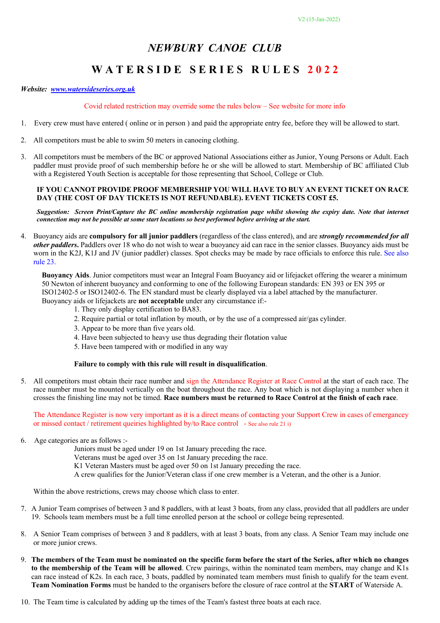# *NEWBURY CANOE CLUB*

## **W A T E R S I D E S E R I E S R U L E S 2 0 2 2**

#### *Website: www.watersideseries.org.uk*

#### Covid related restriction may override some the rules below – See website for more info

- 1. Every crew must have entered ( online or in person ) and paid the appropriate entry fee, before they will be allowed to start.
- 2. All competitors must be able to swim 50 meters in canoeing clothing.
- 3. All competitors must be members of the BC or approved National Associations either as Junior, Young Persons or Adult. Each paddler must provide proof of such membership before he or she will be allowed to start. Membership of BC affiliated Club with a Registered Youth Section is acceptable for those representing that School, College or Club.

#### **IF YOU CANNOT PROVIDE PROOF MEMBERSHIP YOU WILL HAVE TO BUY AN EVENT TICKET ON RACE DAY (THE COST OF DAY TICKETS IS NOT REFUNDABLE). EVENT TICKETS COST £5.**

*Suggestion: Screen Print/Capture the BC online membership registration page whilst showing the expiry date. Note that internet connection may not be possible at some start locations so best performed before arriving at the start.*

4. Buoyancy aids are **compulsory for all junior paddlers** (regardless of the class entered), and are *strongly recommended for all other paddlers***.** Paddlers over 18 who do not wish to wear a buoyancy aid can race in the senior classes. Buoyancy aids must be worn in the K2J, K1J and JV (junior paddler) classes. Spot checks may be made by race officials to enforce this rule. See also rule 23.

**Buoyancy Aids**. Junior competitors must wear an Integral Foam Buoyancy aid or lifejacket offering the wearer a minimum 50 Newton of inherent buoyancy and conforming to one of the following European standards: EN 393 or EN 395 or ISO12402-5 or ISO12402-6. The EN standard must be clearly displayed via a label attached by the manufacturer. Buoyancy aids or lifejackets are **not acceptable** under any circumstance if:-

- 1. They only display certification to BA83.
	- 2. Require partial or total inflation by mouth, or by the use of a compressed air/gas cylinder.
	- 3. Appear to be more than five years old.
	- 4. Have been subjected to heavy use thus degrading their flotation value
	- 5. Have been tampered with or modified in any way

#### **Failure to comply with this rule will result in disqualification**.

5. All competitors must obtain their race number and sign the Attendance Register at Race Control at the start of each race. The race number must be mounted vertically on the boat throughout the race. Any boat which is not displaying a number when it crosses the finishing line may not be timed. **Race numbers must be returned to Race Control at the finish of each race**.

The Attendance Register is now very important as it is a direct means of contacting your Support Crew in cases of emergancey or missed contact / retirement queiries highlighted by/to Race control - See also rule 21 i)

6. Age categories are as follows :-

Juniors must be aged under 19 on 1st January preceding the race.

Veterans must be aged over 35 on 1st January preceding the race.

K1 Veteran Masters must be aged over 50 on 1st January preceding the race.

A crew qualifies for the Junior/Veteran class if one crew member is a Veteran, and the other is a Junior.

Within the above restrictions, crews may choose which class to enter.

- 7. A Junior Team comprises of between 3 and 8 paddlers, with at least 3 boats, from any class, provided that all paddlers are under 19. Schools team members must be a full time enrolled person at the school or college being represented.
- 8. A Senior Team comprises of between 3 and 8 paddlers, with at least 3 boats, from any class. A Senior Team may include one or more junior crews.
- 9. **The members of the Team must be nominated on the specific form before the start of the Series, after which no changes to the membership of the Team will be allowed**. Crew pairings, within the nominated team members, may change and K1s can race instead of K2s. In each race, 3 boats, paddled by nominated team members must finish to qualify for the team event. **Team Nomination Forms** must be handed to the organisers before the closure of race control at the **START** of Waterside A.
- 10. The Team time is calculated by adding up the times of the Team's fastest three boats at each race.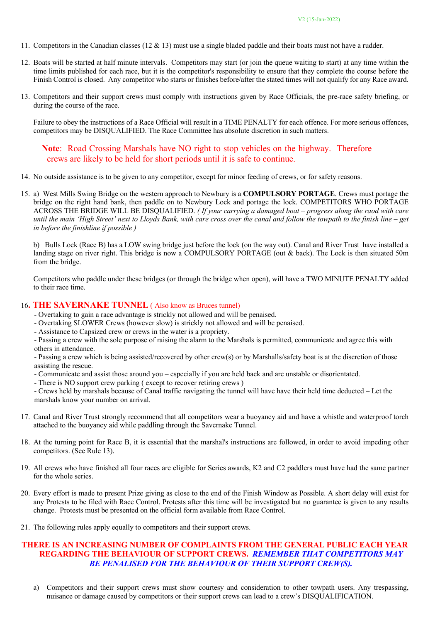- 11. Competitors in the Canadian classes (12 & 13) must use a single bladed paddle and their boats must not have a rudder.
- 12. Boats will be started at half minute intervals. Competitors may start (or join the queue waiting to start) at any time within the time limits published for each race, but it is the competitor's responsibility to ensure that they complete the course before the Finish Control is closed. Any competitor who starts or finishes before/after the stated times will not qualify for any Race award.
- 13. Competitors and their support crews must comply with instructions given by Race Officials, the pre-race safety briefing, or during the course of the race.

Failure to obey the instructions of a Race Official will result in a TIME PENALTY for each offence. For more serious offences, competitors may be DISQUALIFIED. The Race Committee has absolute discretion in such matters.

**Note**: Road Crossing Marshals have NO right to stop vehicles on the highway. Therefore crews are likely to be held for short periods until it is safe to continue.

- 14. No outside assistance is to be given to any competitor, except for minor feeding of crews, or for safety reasons.
- 15. a) West Mills Swing Bridge on the western approach to Newbury is a **COMPULSORY PORTAGE**. Crews must portage the bridge on the right hand bank, then paddle on to Newbury Lock and portage the lock. COMPETITORS WHO PORTAGE ACROSS THE BRIDGE WILL BE DISQUALIFIED. *( If your carrying a damaged boat – progress along the raod with care until the main 'High Street' next to Lloyds Bank, with care cross over the canal and follow the towpath to the finish line – get in before the finishline if possible )*

b) Bulls Lock (Race B) has a LOW swing bridge just before the lock (on the way out). Canal and River Trust have installed a landing stage on river right. This bridge is now a COMPULSORY PORTAGE (out & back). The Lock is then situated 50m from the bridge.

Competitors who paddle under these bridges (or through the bridge when open), will have a TWO MINUTE PENALTY added to their race time.

#### 16**. THE SAVERNAKE TUNNEL** ( Also know as Bruces tunnel)

- Overtaking to gain a race advantage is strickly not allowed and will be penaised.
- Overtaking SLOWER Crews (however slow) is strickly not allowed and will be penaised.
- Assistance to Capsized crew or crews in the water is a propriety.

- Passing a crew with the sole purpose of raising the alarm to the Marshals is permitted, communicate and agree this with

others in attendance.

- Passing a crew which is being assisted/recovered by other crew(s) or by Marshalls/safety boat is at the discretion of those assisting the rescue.

- Communicate and assist those around you especially if you are held back and are unstable or disorientated.
- There is NO support crew parking ( except to recover retiring crews )

- Crews held by marshals because of Canal traffic navigating the tunnel will have have their held time deducted – Let the marshals know your number on arrival.

- 17. Canal and River Trust strongly recommend that all competitors wear a buoyancy aid and have a whistle and waterproof torch attached to the buoyancy aid while paddling through the Savernake Tunnel.
- 18. At the turning point for Race B, it is essential that the marshal's instructions are followed, in order to avoid impeding other competitors. (See Rule 13).
- 19. All crews who have finished all four races are eligible for Series awards, K2 and C2 paddlers must have had the same partner for the whole series.
- 20. Every effort is made to present Prize giving as close to the end of the Finish Window as Possible. A short delay will exist for any Protests to be filed with Race Control. Protests after this time will be investigated but no guarantee is given to any results change. Protests must be presented on the official form available from Race Control.
- 21. The following rules apply equally to competitors and their support crews.

### **THERE IS AN INCREASING NUMBER OF COMPLAINTS FROM THE GENERAL PUBLIC EACH YEAR REGARDING THE BEHAVIOUR OF SUPPORT CREWS.** *REMEMBER THAT COMPETITORS MAY BE PENALISED FOR THE BEHAVIOUR OF THEIR SUPPORT CREW(S).*

a) Competitors and their support crews must show courtesy and consideration to other towpath users. Any trespassing, nuisance or damage caused by competitors or their support crews can lead to a crew's DISQUALIFICATION.